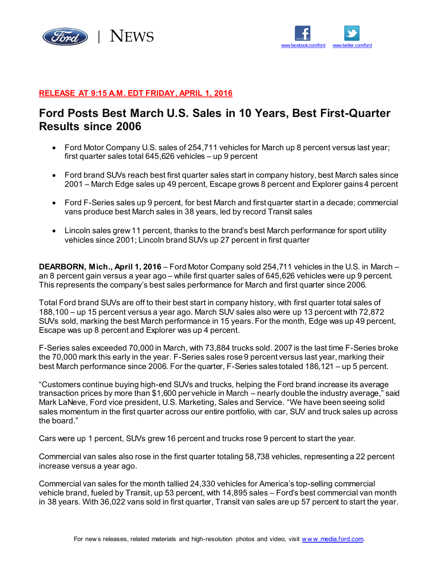



### **RELEASE AT 9:15 A.M. EDT FRIDAY, APRIL 1, 2016**

## **Ford Posts Best March U.S. Sales in 10 Years, Best First-Quarter Results since 2006**

- Ford Motor Company U.S. sales of 254,711 vehicles for March up 8 percent versus last year; first quarter sales total 645,626 vehicles – up 9 percent
- Ford brand SUVs reach best first quarter sales start in company history, best March sales since 2001 – March Edge sales up 49 percent, Escape grows 8 percent and Explorer gains 4 percent
- Ford F-Series sales up 9 percent, for best March and first quarter start in a decade; commercial vans produce best March sales in 38 years, led by record Transit sales
- Lincoln sales grew 11 percent, thanks to the brand's best March performance for sport utility vehicles since 2001; Lincoln brand SUVs up 27 percent in first quarter

**DEARBORN, Mich., April 1, 2016** – Ford Motor Company sold 254,711 vehicles in the U.S. in March – an 8 percent gain versus a year ago – while first quarter sales of 645,626 vehicles were up 9 percent. This represents the company's best sales performance for March and first quarter since 2006.

Total Ford brand SUVs are off to their best start in company history, with first quarter total sales of 188,100 – up 15 percent versus a year ago. March SUV sales also were up 13 percent with 72,872 SUVs sold, marking the best March performance in 15 years. For the month, Edge was up 49 percent, Escape was up 8 percent and Explorer was up 4 percent.

F-Series sales exceeded 70,000 in March, with 73,884 trucks sold. 2007 is the last time F-Series broke the 70,000 mark this early in the year. F-Series sales rose 9 percent versus last year, marking their best March performance since 2006. For the quarter, F-Series sales totaled 186,121 – up 5 percent.

"Customers continue buying high-end SUVs and trucks, helping the Ford brand increase its average transaction prices by more than \$1,600 per vehicle in March – nearly double the industry average," said Mark LaNeve, Ford vice president, U.S. Marketing, Sales and Service. "We have been seeing solid sales momentum in the first quarter across our entire portfolio, with car, SUV and truck sales up across the board."

Cars were up 1 percent, SUVs grew 16 percent and trucks rose 9 percent to start the year.

Commercial van sales also rose in the first quarter totaling 58,738 vehicles, representing a 22 percent increase versus a year ago.

Commercial van sales for the month tallied 24,330 vehicles for America's top-selling commercial vehicle brand, fueled by Transit, up 53 percent, with 14,895 sales – Ford's best commercial van month in 38 years. With 36,022 vans sold in first quarter, Transit van sales are up 57 percent to start the year.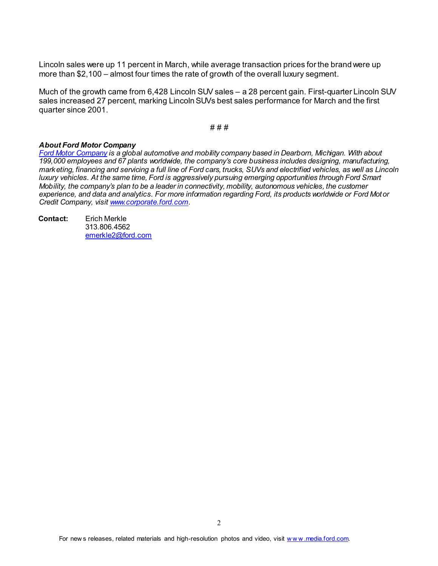Lincoln sales were up 11 percent in March, while average transaction prices for the brand were up more than \$2,100 – almost four times the rate of growth of the overall luxury segment.

Much of the growth came from 6,428 Lincoln SUV sales – a 28 percent gain. First-quarter Lincoln SUV sales increased 27 percent, marking Lincoln SUVs best sales performance for March and the first quarter since 2001.

#### # # #

#### *About Ford Motor Company*

*[Ford Motor Company](http://corporate.ford.com/) is a global automotive and mobility company based in Dearborn, Michigan. With about 199,000 employees and 67 plants worldwide, the company's core business includes designing, manufacturing, marketing, financing and servicing a full line of Ford cars, trucks, SUVs and electrified vehicles, as well as Lincoln luxury vehicles. At the same time, Ford is aggressively pursuing emerging opportunities through Ford Smart Mobility, the company's plan to be a leader in connectivity, mobility, autonomous vehicles, the customer experience, and data and analytics. For more information regarding Ford, its products worldwide or Ford Motor Credit Company, visi[t www.corporate.ford.com](http://www.corporate.ford.com/).*

**Contact:** Erich Merkle 313.806.4562 [emerkle2@ford.com](mailto:emerkle2@ford.com)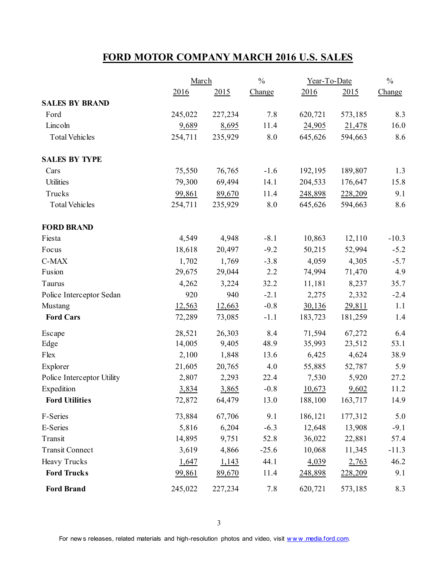# **FORD MOTOR COMPANY MARCH 2016 U.S. SALES**

|                            |         | March   |         | Year-To-Date |         | $\frac{0}{0}$ |
|----------------------------|---------|---------|---------|--------------|---------|---------------|
|                            | 2016    | 2015    | Change  | 2016         | 2015    | Change        |
| <b>SALES BY BRAND</b>      |         |         |         |              |         |               |
| Ford                       | 245,022 | 227,234 | 7.8     | 620,721      | 573,185 | 8.3           |
| Lincoln                    | 9,689   | 8,695   | 11.4    | 24,905       | 21,478  | 16.0          |
| <b>Total Vehicles</b>      | 254,711 | 235,929 | 8.0     | 645,626      | 594,663 | 8.6           |
| <b>SALES BY TYPE</b>       |         |         |         |              |         |               |
| Cars                       | 75,550  | 76,765  | $-1.6$  | 192,195      | 189,807 | 1.3           |
| Utilities                  | 79,300  | 69,494  | 14.1    | 204,533      | 176,647 | 15.8          |
| Trucks                     | 99,861  | 89,670  | 11.4    | 248,898      | 228,209 | 9.1           |
| <b>Total Vehicles</b>      | 254,711 | 235,929 | 8.0     | 645,626      | 594,663 | 8.6           |
| <b>FORD BRAND</b>          |         |         |         |              |         |               |
| Fiesta                     | 4,549   | 4,948   | $-8.1$  | 10,863       | 12,110  | $-10.3$       |
| Focus                      | 18,618  | 20,497  | $-9.2$  | 50,215       | 52,994  | $-5.2$        |
| C-MAX                      | 1,702   | 1,769   | $-3.8$  | 4,059        | 4,305   | $-5.7$        |
| Fusion                     | 29,675  | 29,044  | 2.2     | 74,994       | 71,470  | 4.9           |
| Taurus                     | 4,262   | 3,224   | 32.2    | 11,181       | 8,237   | 35.7          |
| Police Interceptor Sedan   | 920     | 940     | $-2.1$  | 2,275        | 2,332   | $-2.4$        |
| Mustang                    | 12,563  | 12,663  | $-0.8$  | 30,136       | 29,811  | 1.1           |
| <b>Ford Cars</b>           | 72,289  | 73,085  | $-1.1$  | 183,723      | 181,259 | 1.4           |
| Escape                     | 28,521  | 26,303  | 8.4     | 71,594       | 67,272  | 6.4           |
| Edge                       | 14,005  | 9,405   | 48.9    | 35,993       | 23,512  | 53.1          |
| Flex                       | 2,100   | 1,848   | 13.6    | 6,425        | 4,624   | 38.9          |
| Explorer                   | 21,605  | 20,765  | 4.0     | 55,885       | 52,787  | 5.9           |
| Police Interceptor Utility | 2,807   | 2,293   | 22.4    | 7,530        | 5,920   | 27.2          |
| Expedition                 | 3,834   | 3,865   | $-0.8$  | 10,673       | 9,602   | 11.2          |
| <b>Ford Utilities</b>      | 72,872  | 64,479  | 13.0    | 188,100      | 163,717 | 14.9          |
| F-Series                   | 73,884  | 67,706  | 9.1     | 186,121      | 177,312 | $5.0$         |
| E-Series                   | 5,816   | 6,204   | $-6.3$  | 12,648       | 13,908  | $-9.1$        |
| Transit                    | 14,895  | 9,751   | 52.8    | 36,022       | 22,881  | 57.4          |
| <b>Transit Connect</b>     | 3,619   | 4,866   | $-25.6$ | 10,068       | 11,345  | $-11.3$       |
| Heavy Trucks               | 1,647   | 1,143   | 44.1    | 4,039        | 2,763   | 46.2          |
| <b>Ford Trucks</b>         | 99,861  | 89,670  | 11.4    | 248,898      | 228,209 | 9.1           |
| <b>Ford Brand</b>          | 245,022 | 227,234 | 7.8     | 620,721      | 573,185 | 8.3           |